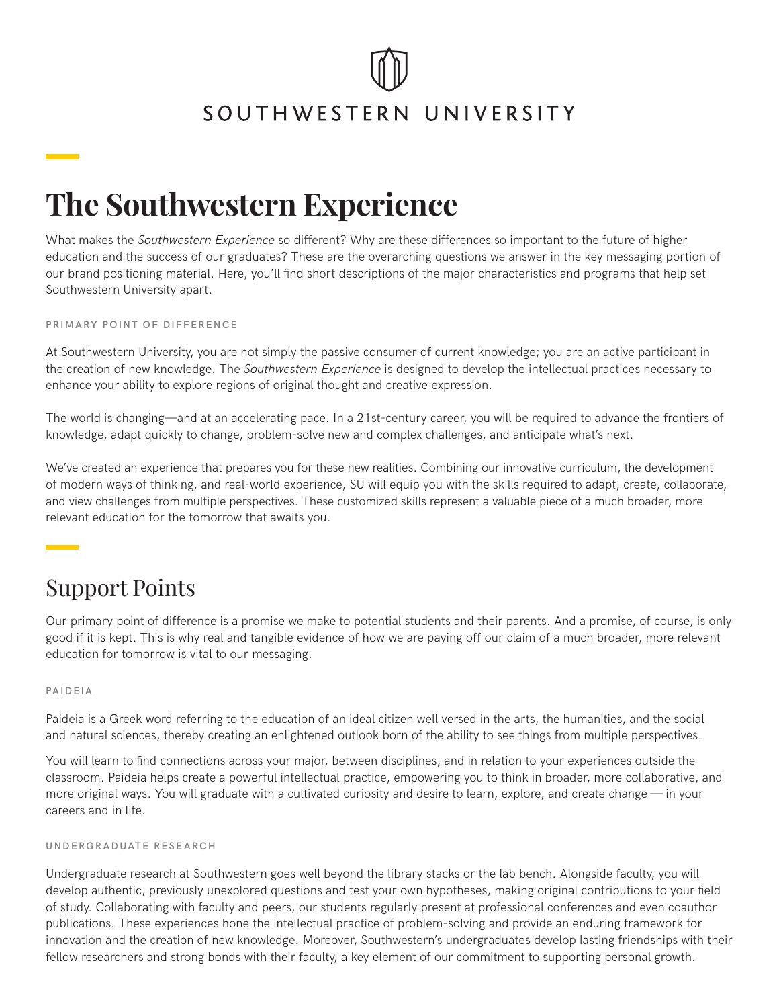## SOUTHWESTERN UNIVERSITY

## **The Southwestern Experience**

What makes the *Southwestern Experience* so different? Why are these differences so important to the future of higher education and the success of our graduates? These are the overarching questions we answer in the key messaging portion of our brand positioning material. Here, you'll find short descriptions of the major characteristics and programs that help set Southwestern University apart.

**PRIMARY POINT OF DIFFERENCE**

At Southwestern University, you are not simply the passive consumer of current knowledge; you are an active participant in the creation of new knowledge. The *Southwestern Experience* is designed to develop the intellectual practices necessary to enhance your ability to explore regions of original thought and creative expression.

The world is changing—and at an accelerating pace. In a 21st-century career, you will be required to advance the frontiers of knowledge, adapt quickly to change, problem-solve new and complex challenges, and anticipate what's next.

We've created an experience that prepares you for these new realities. Combining our innovative curriculum, the development of modern ways of thinking, and real-world experience, SU will equip you with the skills required to adapt, create, collaborate, and view challenges from multiple perspectives. These customized skills represent a valuable piece of a much broader, more relevant education for the tomorrow that awaits you.

### Support Points

Our primary point of difference is a promise we make to potential students and their parents. And a promise, of course, is only good if it is kept. This is why real and tangible evidence of how we are paying off our claim of a much broader, more relevant education for tomorrow is vital to our messaging.

#### **PAIDEIA**

Paideia is a Greek word referring to the education of an ideal citizen well versed in the arts, the humanities, and the social and natural sciences, thereby creating an enlightened outlook born of the ability to see things from multiple perspectives.

You will learn to find connections across your major, between disciplines, and in relation to your experiences outside the classroom. Paideia helps create a powerful intellectual practice, empowering you to think in broader, more collaborative, and more original ways. You will graduate with a cultivated curiosity and desire to learn, explore, and create change — in your careers and in life.

#### **UNDERGRADUATE RESEARCH**

Undergraduate research at Southwestern goes well beyond the library stacks or the lab bench. Alongside faculty, you will develop authentic, previously unexplored questions and test your own hypotheses, making original contributions to your field of study. Collaborating with faculty and peers, our students regularly present at professional conferences and even coauthor publications. These experiences hone the intellectual practice of problem-solving and provide an enduring framework for innovation and the creation of new knowledge. Moreover, Southwestern's undergraduates develop lasting friendships with their fellow researchers and strong bonds with their faculty, a key element of our commitment to supporting personal growth.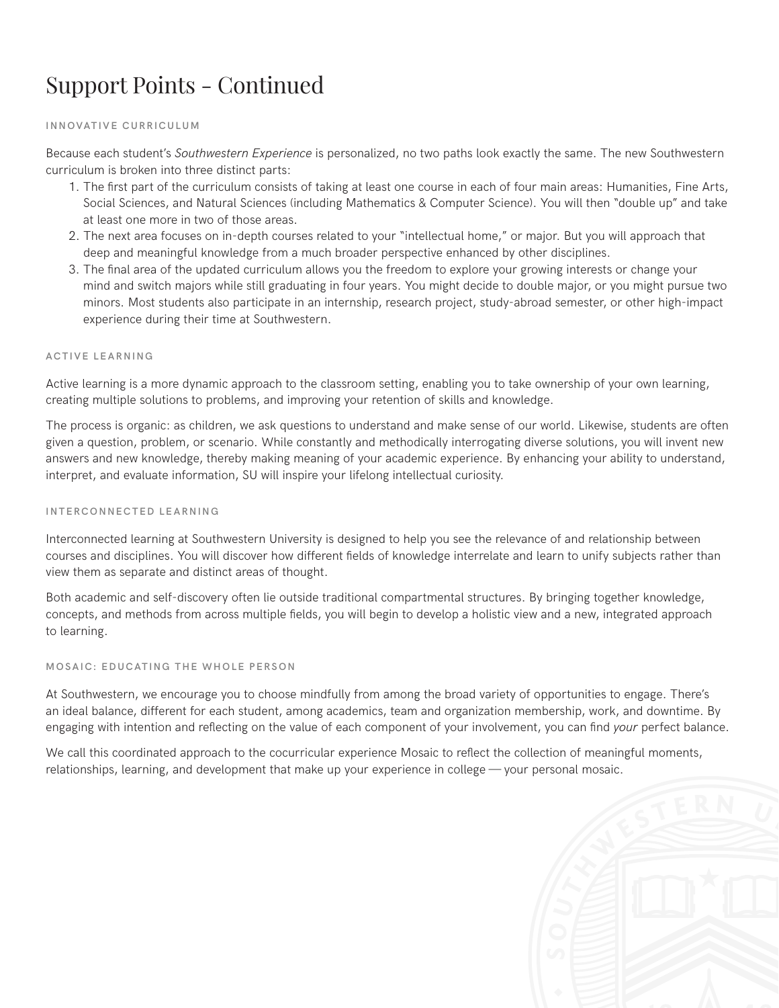## Support Points - Continued

#### **INNOVATIVE CURRICULUM**

Because each student's *Southwestern Experience* is personalized, no two paths look exactly the same. The new Southwestern curriculum is broken into three distinct parts:

- 1. The first part of the curriculum consists of taking at least one course in each of four main areas: Humanities, Fine Arts, Social Sciences, and Natural Sciences (including Mathematics & Computer Science). You will then "double up" and take at least one more in two of those areas.
- 2. The next area focuses on in-depth courses related to your "intellectual home," or major. But you will approach that deep and meaningful knowledge from a much broader perspective enhanced by other disciplines.
- 3. The final area of the updated curriculum allows you the freedom to explore your growing interests or change your mind and switch majors while still graduating in four years. You might decide to double major, or you might pursue two minors. Most students also participate in an internship, research project, study-abroad semester, or other high-impact experience during their time at Southwestern.

#### **ACTIVE LEARNING**

Active learning is a more dynamic approach to the classroom setting, enabling you to take ownership of your own learning, creating multiple solutions to problems, and improving your retention of skills and knowledge.

The process is organic: as children, we ask questions to understand and make sense of our world. Likewise, students are often given a question, problem, or scenario. While constantly and methodically interrogating diverse solutions, you will invent new answers and new knowledge, thereby making meaning of your academic experience. By enhancing your ability to understand, interpret, and evaluate information, SU will inspire your lifelong intellectual curiosity.

#### **INTERCONNECTED LEARNING**

Interconnected learning at Southwestern University is designed to help you see the relevance of and relationship between courses and disciplines. You will discover how different fields of knowledge interrelate and learn to unify subjects rather than view them as separate and distinct areas of thought.

Both academic and self-discovery often lie outside traditional compartmental structures. By bringing together knowledge, concepts, and methods from across multiple fields, you will begin to develop a holistic view and a new, integrated approach to learning.

#### **MOSAIC: EDUCATING THE WHOLE PERSON**

At Southwestern, we encourage you to choose mindfully from among the broad variety of opportunities to engage. There's an ideal balance, different for each student, among academics, team and organization membership, work, and downtime. By engaging with intention and reflecting on the value of each component of your involvement, you can find *your* perfect balance.

We call this coordinated approach to the cocurricular experience Mosaic to reflect the collection of meaningful moments, relationships, learning, and development that make up your experience in college — your personal mosaic.